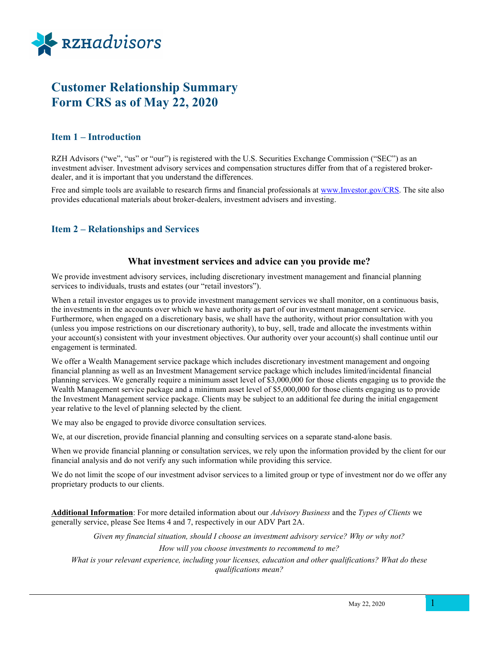

# Customer Relationship Summary Form CRS as of May 22, 2020

# Item 1 – Introduction

RZH Advisors ("we", "us" or "our") is registered with the U.S. Securities Exchange Commission ("SEC") as an investment adviser. Investment advisory services and compensation structures differ from that of a registered brokerdealer, and it is important that you understand the differences.

Free and simple tools are available to research firms and financial professionals at www.Investor.gov/CRS. The site also provides educational materials about broker-dealers, investment advisers and investing.

# Item 2 – Relationships and Services

#### What investment services and advice can you provide me?

We provide investment advisory services, including discretionary investment management and financial planning services to individuals, trusts and estates (our "retail investors").

When a retail investor engages us to provide investment management services we shall monitor, on a continuous basis, the investments in the accounts over which we have authority as part of our investment management service. Furthermore, when engaged on a discretionary basis, we shall have the authority, without prior consultation with you (unless you impose restrictions on our discretionary authority), to buy, sell, trade and allocate the investments within your account(s) consistent with your investment objectives. Our authority over your account(s) shall continue until our engagement is terminated.

We offer a Wealth Management service package which includes discretionary investment management and ongoing financial planning as well as an Investment Management service package which includes limited/incidental financial planning services. We generally require a minimum asset level of \$3,000,000 for those clients engaging us to provide the Wealth Management service package and a minimum asset level of \$5,000,000 for those clients engaging us to provide the Investment Management service package. Clients may be subject to an additional fee during the initial engagement year relative to the level of planning selected by the client.

We may also be engaged to provide divorce consultation services.

We, at our discretion, provide financial planning and consulting services on a separate stand-alone basis.

When we provide financial planning or consultation services, we rely upon the information provided by the client for our financial analysis and do not verify any such information while providing this service.

We do not limit the scope of our investment advisor services to a limited group or type of investment nor do we offer any proprietary products to our clients.

Additional Information: For more detailed information about our Advisory Business and the Types of Clients we generally service, please See Items 4 and 7, respectively in our ADV Part 2A.

> Given my financial situation, should I choose an investment advisory service? Why or why not? How will you choose investments to recommend to me?

What is your relevant experience, including your licenses, education and other qualifications? What do these qualifications mean?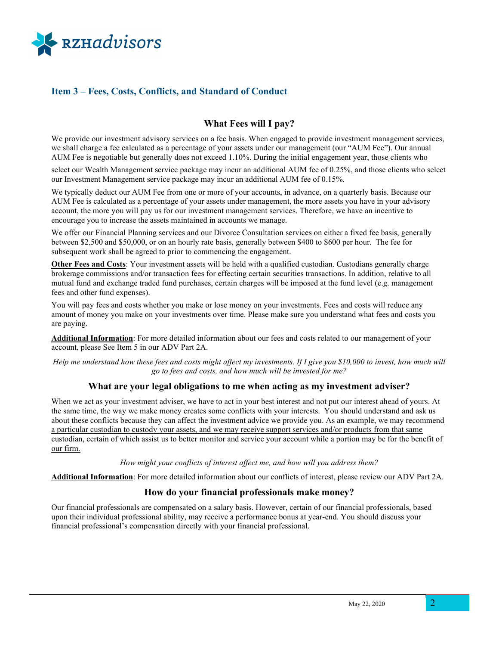

# Item 3 – Fees, Costs, Conflicts, and Standard of Conduct

# What Fees will I pay?

We provide our investment advisory services on a fee basis. When engaged to provide investment management services, we shall charge a fee calculated as a percentage of your assets under our management (our "AUM Fee"). Our annual AUM Fee is negotiable but generally does not exceed 1.10%. During the initial engagement year, those clients who

select our Wealth Management service package may incur an additional AUM fee of 0.25%, and those clients who select our Investment Management service package may incur an additional AUM fee of 0.15%.

We typically deduct our AUM Fee from one or more of your accounts, in advance, on a quarterly basis. Because our AUM Fee is calculated as a percentage of your assets under management, the more assets you have in your advisory account, the more you will pay us for our investment management services. Therefore, we have an incentive to encourage you to increase the assets maintained in accounts we manage.

We offer our Financial Planning services and our Divorce Consultation services on either a fixed fee basis, generally between \$2,500 and \$50,000, or on an hourly rate basis, generally between \$400 to \$600 per hour. The fee for subsequent work shall be agreed to prior to commencing the engagement.

Other Fees and Costs: Your investment assets will be held with a qualified custodian. Custodians generally charge brokerage commissions and/or transaction fees for effecting certain securities transactions. In addition, relative to all mutual fund and exchange traded fund purchases, certain charges will be imposed at the fund level (e.g. management fees and other fund expenses).

You will pay fees and costs whether you make or lose money on your investments. Fees and costs will reduce any amount of money you make on your investments over time. Please make sure you understand what fees and costs you are paying.

Additional Information: For more detailed information about our fees and costs related to our management of your account, please See Item 5 in our ADV Part 2A.

Help me understand how these fees and costs might affect my investments. If I give you \$10,000 to invest, how much will go to fees and costs, and how much will be invested for me?

# What are your legal obligations to me when acting as my investment adviser?

When we act as your investment adviser, we have to act in your best interest and not put our interest ahead of yours. At the same time, the way we make money creates some conflicts with your interests. You should understand and ask us about these conflicts because they can affect the investment advice we provide you. As an example, we may recommend a particular custodian to custody your assets, and we may receive support services and/or products from that same custodian, certain of which assist us to better monitor and service your account while a portion may be for the benefit of our firm.

How might your conflicts of interest affect me, and how will you address them?

Additional Information: For more detailed information about our conflicts of interest, please review our ADV Part 2A.

# How do your financial professionals make money?

Our financial professionals are compensated on a salary basis. However, certain of our financial professionals, based upon their individual professional ability, may receive a performance bonus at year-end. You should discuss your financial professional's compensation directly with your financial professional.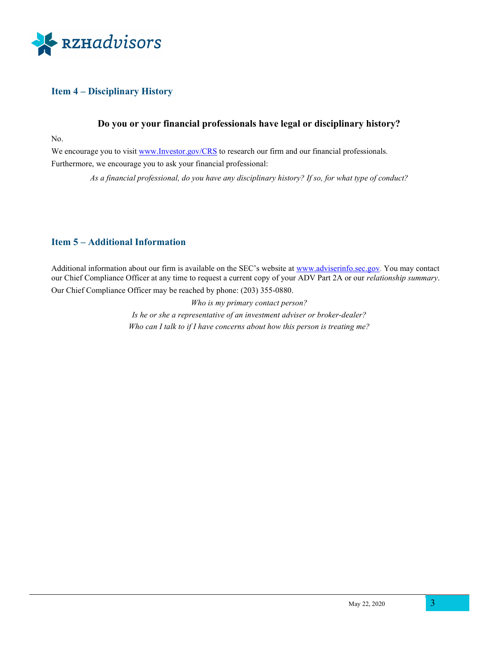

# Item 4 – Disciplinary History

# Do you or your financial professionals have legal or disciplinary history?

No.

We encourage you to visit www.Investor.gov/CRS to research our firm and our financial professionals. Furthermore, we encourage you to ask your financial professional:

As a financial professional, do you have any disciplinary history? If so, for what type of conduct?

# Item 5 – Additional Information

Additional information about our firm is available on the SEC's website at www.adviserinfo.sec.gov. You may contact our Chief Compliance Officer at any time to request a current copy of your ADV Part 2A or our relationship summary.

Our Chief Compliance Officer may be reached by phone: (203) 355-0880.

Who is my primary contact person? Is he or she a representative of an investment adviser or broker-dealer? Who can I talk to if I have concerns about how this person is treating me?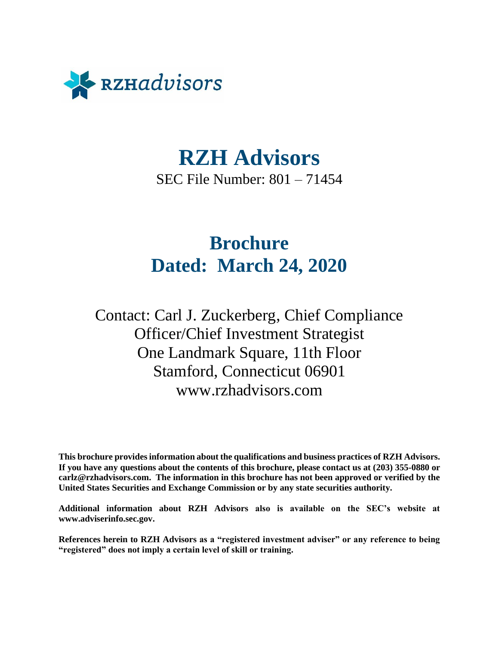<span id="page-3-0"></span>

# **RZH Advisors**

SEC File Number: 801 – 71454

# **Brochure Dated: March 24, 2020**

Contact: Carl J. Zuckerberg, Chief Compliance Officer/Chief Investment Strategist One Landmark Square, 11th Floor Stamford, Connecticut 06901 www.rzhadvisors.com

**This brochure provides information about the qualifications and business practices of RZH Advisors. If you have any questions about the contents of this brochure, please contact us at (203) 355-0880 or carlz@rzhadvisors.com. The information in this brochure has not been approved or verified by the United States Securities and Exchange Commission or by any state securities authority.**

**Additional information about RZH Advisors also is available on the SEC's website at www.adviserinfo.sec.gov.**

**References herein to RZH Advisors as a "registered investment adviser" or any reference to being "registered" does not imply a certain level of skill or training.**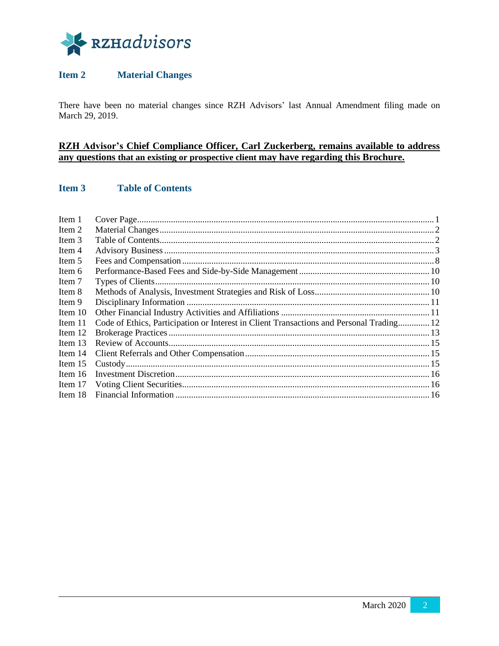

# <span id="page-4-0"></span>**Item 2 Material Changes**

There have been no material changes since RZH Advisors' last Annual Amendment filing made on March 29, 2019.

# **RZH Advisor's Chief Compliance Officer, Carl Zuckerberg, remains available to address any questions that an existing or prospective client may have regarding this Brochure.**

# <span id="page-4-1"></span>**Item 3 Table of Contents**

| Code of Ethics, Participation or Interest in Client Transactions and Personal Trading 12 |
|------------------------------------------------------------------------------------------|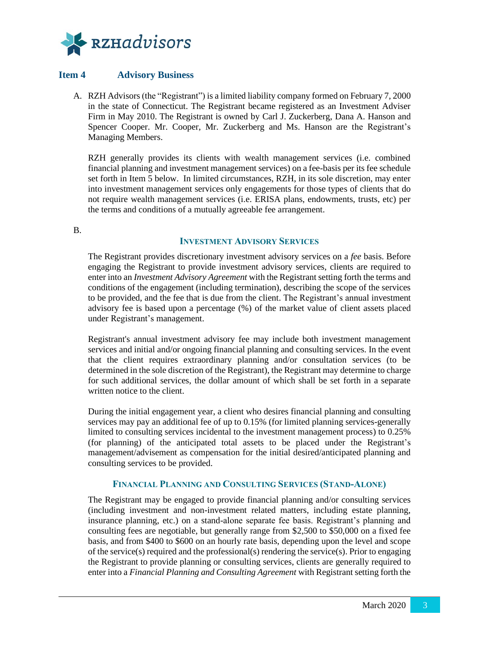

# <span id="page-5-0"></span>**Item 4 Advisory Business**

A. RZH Advisors (the "Registrant") is a limited liability company formed on February 7, 2000 in the state of Connecticut. The Registrant became registered as an Investment Adviser Firm in May 2010. The Registrant is owned by Carl J. Zuckerberg, Dana A. Hanson and Spencer Cooper. Mr. Cooper, Mr. Zuckerberg and Ms. Hanson are the Registrant's Managing Members.

RZH generally provides its clients with wealth management services (i.e. combined financial planning and investment management services) on a fee-basis per its fee schedule set forth in Item 5 below. In limited circumstances, RZH, in its sole discretion, may enter into investment management services only engagements for those types of clients that do not require wealth management services (i.e. ERISA plans, endowments, trusts, etc) per the terms and conditions of a mutually agreeable fee arrangement.

B.

#### **INVESTMENT ADVISORY SERVICES**

The Registrant provides discretionary investment advisory services on a *fee* basis. Before engaging the Registrant to provide investment advisory services, clients are required to enter into an *Investment Advisory Agreement* with the Registrant setting forth the terms and conditions of the engagement (including termination), describing the scope of the services to be provided, and the fee that is due from the client. The Registrant's annual investment advisory fee is based upon a percentage (%) of the market value of client assets placed under Registrant's management.

Registrant's annual investment advisory fee may include both investment management services and initial and/or ongoing financial planning and consulting services. In the event that the client requires extraordinary planning and/or consultation services (to be determined in the sole discretion of the Registrant), the Registrant may determine to charge for such additional services, the dollar amount of which shall be set forth in a separate written notice to the client.

During the initial engagement year, a client who desires financial planning and consulting services may pay an additional fee of up to 0.15% (for limited planning services-generally limited to consulting services incidental to the investment management process) to 0.25% (for planning) of the anticipated total assets to be placed under the Registrant's management/advisement as compensation for the initial desired/anticipated planning and consulting services to be provided.

#### **FINANCIAL PLANNING AND CONSULTING SERVICES (STAND-ALONE)**

The Registrant may be engaged to provide financial planning and/or consulting services (including investment and non-investment related matters, including estate planning, insurance planning, etc.) on a stand-alone separate fee basis. Registrant's planning and consulting fees are negotiable, but generally range from \$2,500 to \$50,000 on a fixed fee basis, and from \$400 to \$600 on an hourly rate basis, depending upon the level and scope of the service(s) required and the professional(s) rendering the service(s). Prior to engaging the Registrant to provide planning or consulting services, clients are generally required to enter into a *Financial Planning and Consulting Agreement* with Registrant setting forth the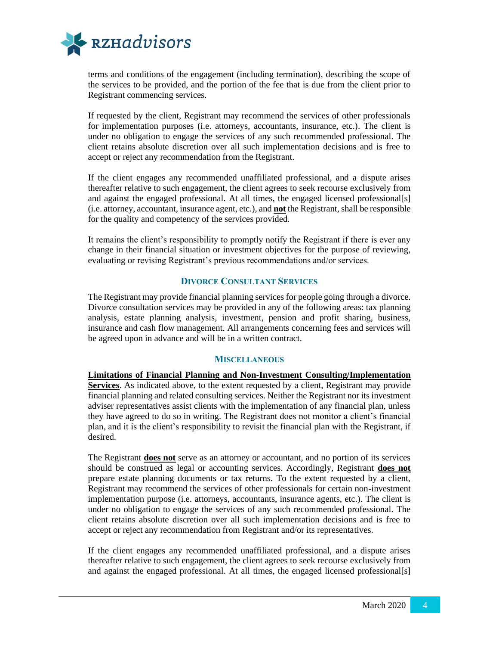

terms and conditions of the engagement (including termination), describing the scope of the services to be provided, and the portion of the fee that is due from the client prior to Registrant commencing services.

If requested by the client, Registrant may recommend the services of other professionals for implementation purposes (i.e. attorneys, accountants, insurance, etc.). The client is under no obligation to engage the services of any such recommended professional. The client retains absolute discretion over all such implementation decisions and is free to accept or reject any recommendation from the Registrant.

If the client engages any recommended unaffiliated professional, and a dispute arises thereafter relative to such engagement, the client agrees to seek recourse exclusively from and against the engaged professional. At all times, the engaged licensed professional[s] (i.e. attorney, accountant, insurance agent, etc.), and **not** the Registrant, shall be responsible for the quality and competency of the services provided.

It remains the client's responsibility to promptly notify the Registrant if there is ever any change in their financial situation or investment objectives for the purpose of reviewing, evaluating or revising Registrant's previous recommendations and/or services.

## **DIVORCE CONSULTANT SERVICES**

The Registrant may provide financial planning services for people going through a divorce. Divorce consultation services may be provided in any of the following areas: tax planning analysis, estate planning analysis, investment, pension and profit sharing, business, insurance and cash flow management. All arrangements concerning fees and services will be agreed upon in advance and will be in a written contract.

#### **MISCELLANEOUS**

**Limitations of Financial Planning and Non-Investment Consulting/Implementation Services**. As indicated above, to the extent requested by a client, Registrant may provide financial planning and related consulting services. Neither the Registrant nor its investment adviser representatives assist clients with the implementation of any financial plan, unless they have agreed to do so in writing. The Registrant does not monitor a client's financial plan, and it is the client's responsibility to revisit the financial plan with the Registrant, if desired.

The Registrant **does not** serve as an attorney or accountant, and no portion of its services should be construed as legal or accounting services. Accordingly, Registrant **does not** prepare estate planning documents or tax returns. To the extent requested by a client, Registrant may recommend the services of other professionals for certain non-investment implementation purpose (i.e. attorneys, accountants, insurance agents, etc.). The client is under no obligation to engage the services of any such recommended professional. The client retains absolute discretion over all such implementation decisions and is free to accept or reject any recommendation from Registrant and/or its representatives.

If the client engages any recommended unaffiliated professional, and a dispute arises thereafter relative to such engagement, the client agrees to seek recourse exclusively from and against the engaged professional. At all times, the engaged licensed professional[s]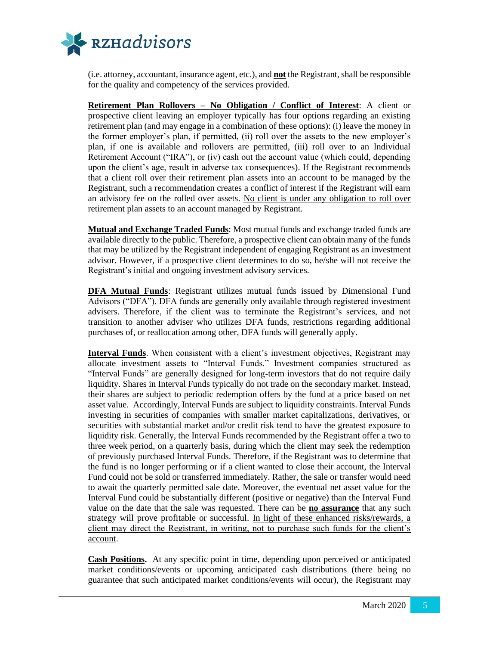

(i.e. attorney, accountant, insurance agent, etc.), and **not** the Registrant, shall be responsible for the quality and competency of the services provided.

**Retirement Plan Rollovers – No Obligation / Conflict of Interest**: A client or prospective client leaving an employer typically has four options regarding an existing retirement plan (and may engage in a combination of these options): (i) leave the money in the former employer's plan, if permitted, (ii) roll over the assets to the new employer's plan, if one is available and rollovers are permitted, (iii) roll over to an Individual Retirement Account ("IRA"), or (iv) cash out the account value (which could, depending upon the client's age, result in adverse tax consequences). If the Registrant recommends that a client roll over their retirement plan assets into an account to be managed by the Registrant, such a recommendation creates a conflict of interest if the Registrant will earn an advisory fee on the rolled over assets. No client is under any obligation to roll over retirement plan assets to an account managed by Registrant.

**Mutual and Exchange Traded Funds**: Most mutual funds and exchange traded funds are available directly to the public. Therefore, a prospective client can obtain many of the funds that may be utilized by the Registrant independent of engaging Registrant as an investment advisor. However, if a prospective client determines to do so, he/she will not receive the Registrant's initial and ongoing investment advisory services.

**DFA Mutual Funds**: Registrant utilizes mutual funds issued by Dimensional Fund Advisors ("DFA"). DFA funds are generally only available through registered investment advisers. Therefore, if the client was to terminate the Registrant's services, and not transition to another adviser who utilizes DFA funds, restrictions regarding additional purchases of, or reallocation among other, DFA funds will generally apply.

**Interval Funds**. When consistent with a client's investment objectives, Registrant may allocate investment assets to "Interval Funds." Investment companies structured as "Interval Funds" are generally designed for long-term investors that do not require daily liquidity. Shares in Interval Funds typically do not trade on the secondary market. Instead, their shares are subject to periodic redemption offers by the fund at a price based on net asset value. Accordingly, Interval Funds are subject to liquidity constraints. Interval Funds investing in securities of companies with smaller market capitalizations, derivatives, or securities with substantial market and/or credit risk tend to have the greatest exposure to liquidity risk. Generally, the Interval Funds recommended by the Registrant offer a two to three week period, on a quarterly basis, during which the client may seek the redemption of previously purchased Interval Funds. Therefore, if the Registrant was to determine that the fund is no longer performing or if a client wanted to close their account, the Interval Fund could not be sold or transferred immediately. Rather, the sale or transfer would need to await the quarterly permitted sale date. Moreover, the eventual net asset value for the Interval Fund could be substantially different (positive or negative) than the Interval Fund value on the date that the sale was requested. There can be **no assurance** that any such strategy will prove profitable or successful. In light of these enhanced risks/rewards, a client may direct the Registrant, in writing, not to purchase such funds for the client's account.

**Cash Positions.** At any specific point in time, depending upon perceived or anticipated market conditions/events or upcoming anticipated cash distributions (there being no guarantee that such anticipated market conditions/events will occur), the Registrant may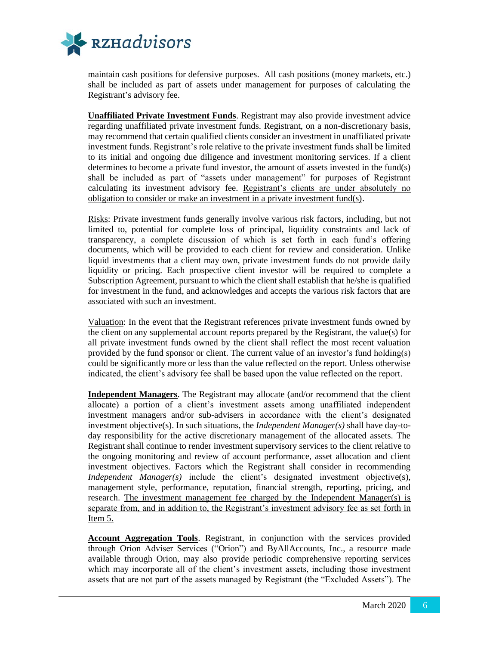

maintain cash positions for defensive purposes. All cash positions (money markets, etc.) shall be included as part of assets under management for purposes of calculating the Registrant's advisory fee.

**Unaffiliated Private Investment Funds**. Registrant may also provide investment advice regarding unaffiliated private investment funds. Registrant, on a non-discretionary basis, may recommend that certain qualified clients consider an investment in unaffiliated private investment funds. Registrant's role relative to the private investment funds shall be limited to its initial and ongoing due diligence and investment monitoring services. If a client determines to become a private fund investor, the amount of assets invested in the fund(s) shall be included as part of "assets under management" for purposes of Registrant calculating its investment advisory fee. Registrant's clients are under absolutely no obligation to consider or make an investment in a private investment fund(s).

Risks: Private investment funds generally involve various risk factors, including, but not limited to, potential for complete loss of principal, liquidity constraints and lack of transparency, a complete discussion of which is set forth in each fund's offering documents, which will be provided to each client for review and consideration. Unlike liquid investments that a client may own, private investment funds do not provide daily liquidity or pricing. Each prospective client investor will be required to complete a Subscription Agreement, pursuant to which the client shall establish that he/she is qualified for investment in the fund, and acknowledges and accepts the various risk factors that are associated with such an investment.

Valuation: In the event that the Registrant references private investment funds owned by the client on any supplemental account reports prepared by the Registrant, the value(s) for all private investment funds owned by the client shall reflect the most recent valuation provided by the fund sponsor or client. The current value of an investor's fund holding(s) could be significantly more or less than the value reflected on the report. Unless otherwise indicated, the client's advisory fee shall be based upon the value reflected on the report.

**Independent Managers**. The Registrant may allocate (and/or recommend that the client allocate) a portion of a client's investment assets among unaffiliated independent investment managers and/or sub-advisers in accordance with the client's designated investment objective(s). In such situations, the *Independent Manager(s)* shall have day-today responsibility for the active discretionary management of the allocated assets. The Registrant shall continue to render investment supervisory services to the client relative to the ongoing monitoring and review of account performance, asset allocation and client investment objectives. Factors which the Registrant shall consider in recommending *Independent Manager(s)* include the client's designated investment objective(s), management style, performance, reputation, financial strength, reporting, pricing, and research. The investment management fee charged by the Independent Manager(s) is separate from, and in addition to, the Registrant's investment advisory fee as set forth in Item 5.

**Account Aggregation Tools**. Registrant, in conjunction with the services provided through Orion Adviser Services ("Orion") and ByAllAccounts, Inc., a resource made available through Orion, may also provide periodic comprehensive reporting services which may incorporate all of the client's investment assets, including those investment assets that are not part of the assets managed by Registrant (the "Excluded Assets"). The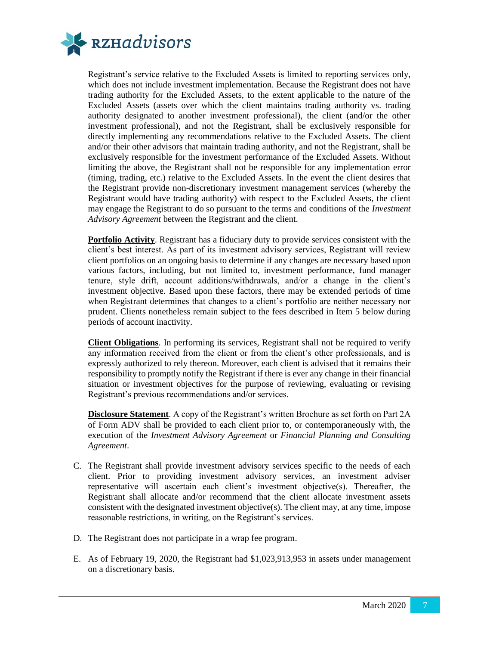

Registrant's service relative to the Excluded Assets is limited to reporting services only, which does not include investment implementation. Because the Registrant does not have trading authority for the Excluded Assets, to the extent applicable to the nature of the Excluded Assets (assets over which the client maintains trading authority vs. trading authority designated to another investment professional), the client (and/or the other investment professional), and not the Registrant, shall be exclusively responsible for directly implementing any recommendations relative to the Excluded Assets. The client and/or their other advisors that maintain trading authority, and not the Registrant, shall be exclusively responsible for the investment performance of the Excluded Assets. Without limiting the above, the Registrant shall not be responsible for any implementation error (timing, trading, etc.) relative to the Excluded Assets. In the event the client desires that the Registrant provide non-discretionary investment management services (whereby the Registrant would have trading authority) with respect to the Excluded Assets, the client may engage the Registrant to do so pursuant to the terms and conditions of the *Investment Advisory Agreement* between the Registrant and the client.

**Portfolio Activity**. Registrant has a fiduciary duty to provide services consistent with the client's best interest. As part of its investment advisory services, Registrant will review client portfolios on an ongoing basis to determine if any changes are necessary based upon various factors, including, but not limited to, investment performance, fund manager tenure, style drift, account additions/withdrawals, and/or a change in the client's investment objective. Based upon these factors, there may be extended periods of time when Registrant determines that changes to a client's portfolio are neither necessary nor prudent. Clients nonetheless remain subject to the fees described in Item 5 below during periods of account inactivity.

**Client Obligations**. In performing its services, Registrant shall not be required to verify any information received from the client or from the client's other professionals, and is expressly authorized to rely thereon. Moreover, each client is advised that it remains their responsibility to promptly notify the Registrant if there is ever any change in their financial situation or investment objectives for the purpose of reviewing, evaluating or revising Registrant's previous recommendations and/or services.

**Disclosure Statement**. A copy of the Registrant's written Brochure as set forth on Part 2A of Form ADV shall be provided to each client prior to, or contemporaneously with, the execution of the *Investment Advisory Agreement* or *Financial Planning and Consulting Agreement*.

- C. The Registrant shall provide investment advisory services specific to the needs of each client. Prior to providing investment advisory services, an investment adviser representative will ascertain each client's investment objective(s). Thereafter, the Registrant shall allocate and/or recommend that the client allocate investment assets consistent with the designated investment objective(s). The client may, at any time, impose reasonable restrictions, in writing, on the Registrant's services.
- D. The Registrant does not participate in a wrap fee program.
- E. As of February 19, 2020, the Registrant had \$1,023,913,953 in assets under management on a discretionary basis.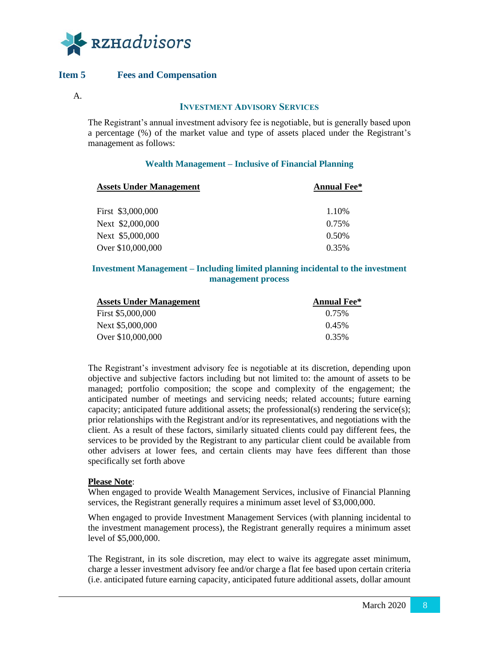

# <span id="page-10-0"></span>**Item 5 Fees and Compensation**

#### **INVESTMENT ADVISORY SERVICES**

The Registrant's annual investment advisory fee is negotiable, but is generally based upon a percentage (%) of the market value and type of assets placed under the Registrant's management as follows:

#### **Wealth Management – Inclusive of Financial Planning**

| <b>Assets Under Management</b> | <b>Annual Fee*</b> |
|--------------------------------|--------------------|
| First \$3,000,000              | 1.10%              |
| Next \$2,000,000               | 0.75%              |
| Next \$5,000,000               | $0.50\%$           |
| Over \$10,000,000              | 0.35%              |

#### **Investment Management – Including limited planning incidental to the investment management process**

| <b>Assets Under Management</b> | <b>Annual Fee*</b> |
|--------------------------------|--------------------|
| First \$5,000,000              | 0.75%              |
| Next \$5,000,000               | 0.45%              |
| Over \$10,000,000              | 0.35%              |

The Registrant's investment advisory fee is negotiable at its discretion, depending upon objective and subjective factors including but not limited to: the amount of assets to be managed; portfolio composition; the scope and complexity of the engagement; the anticipated number of meetings and servicing needs; related accounts; future earning capacity; anticipated future additional assets; the professional(s) rendering the service(s); prior relationships with the Registrant and/or its representatives, and negotiations with the client. As a result of these factors, similarly situated clients could pay different fees, the services to be provided by the Registrant to any particular client could be available from other advisers at lower fees, and certain clients may have fees different than those specifically set forth above

#### **Please Note**:

When engaged to provide Wealth Management Services, inclusive of Financial Planning services, the Registrant generally requires a minimum asset level of \$3,000,000.

When engaged to provide Investment Management Services (with planning incidental to the investment management process), the Registrant generally requires a minimum asset level of \$5,000,000.

The Registrant, in its sole discretion, may elect to waive its aggregate asset minimum, charge a lesser investment advisory fee and/or charge a flat fee based upon certain criteria (i.e. anticipated future earning capacity, anticipated future additional assets, dollar amount

A.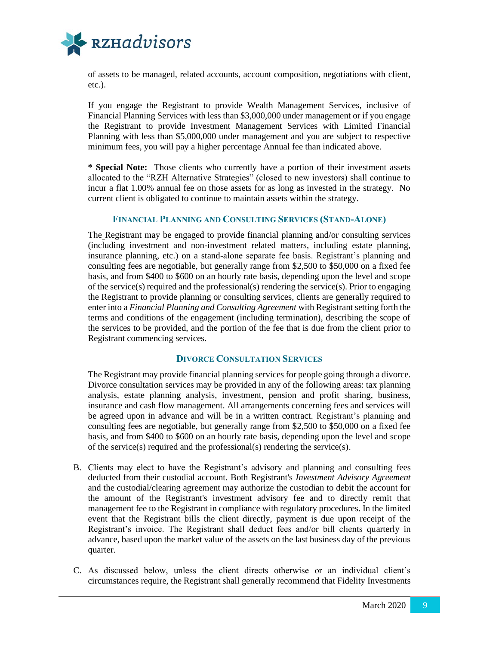

of assets to be managed, related accounts, account composition, negotiations with client, etc.).

If you engage the Registrant to provide Wealth Management Services, inclusive of Financial Planning Services with less than \$3,000,000 under management or if you engage the Registrant to provide Investment Management Services with Limited Financial Planning with less than \$5,000,000 under management and you are subject to respective minimum fees, you will pay a higher percentage Annual fee than indicated above.

**\* Special Note:** Those clients who currently have a portion of their investment assets allocated to the "RZH Alternative Strategies" (closed to new investors) shall continue to incur a flat 1.00% annual fee on those assets for as long as invested in the strategy. No current client is obligated to continue to maintain assets within the strategy.

#### **FINANCIAL PLANNING AND CONSULTING SERVICES (STAND-ALONE)**

The Registrant may be engaged to provide financial planning and/or consulting services (including investment and non-investment related matters, including estate planning, insurance planning, etc.) on a stand-alone separate fee basis. Registrant's planning and consulting fees are negotiable, but generally range from \$2,500 to \$50,000 on a fixed fee basis, and from \$400 to \$600 on an hourly rate basis, depending upon the level and scope of the service(s) required and the professional(s) rendering the service(s). Prior to engaging the Registrant to provide planning or consulting services, clients are generally required to enter into a *Financial Planning and Consulting Agreement* with Registrant setting forth the terms and conditions of the engagement (including termination), describing the scope of the services to be provided, and the portion of the fee that is due from the client prior to Registrant commencing services.

#### **DIVORCE CONSULTATION SERVICES**

The Registrant may provide financial planning services for people going through a divorce. Divorce consultation services may be provided in any of the following areas: tax planning analysis, estate planning analysis, investment, pension and profit sharing, business, insurance and cash flow management. All arrangements concerning fees and services will be agreed upon in advance and will be in a written contract. Registrant's planning and consulting fees are negotiable, but generally range from \$2,500 to \$50,000 on a fixed fee basis, and from \$400 to \$600 on an hourly rate basis, depending upon the level and scope of the service(s) required and the professional(s) rendering the service(s).

- B. Clients may elect to have the Registrant's advisory and planning and consulting fees deducted from their custodial account. Both Registrant's *Investment Advisory Agreement* and the custodial/clearing agreement may authorize the custodian to debit the account for the amount of the Registrant's investment advisory fee and to directly remit that management fee to the Registrant in compliance with regulatory procedures. In the limited event that the Registrant bills the client directly, payment is due upon receipt of the Registrant's invoice. The Registrant shall deduct fees and/or bill clients quarterly in advance, based upon the market value of the assets on the last business day of the previous quarter.
- C. As discussed below, unless the client directs otherwise or an individual client's circumstances require, the Registrant shall generally recommend that Fidelity Investments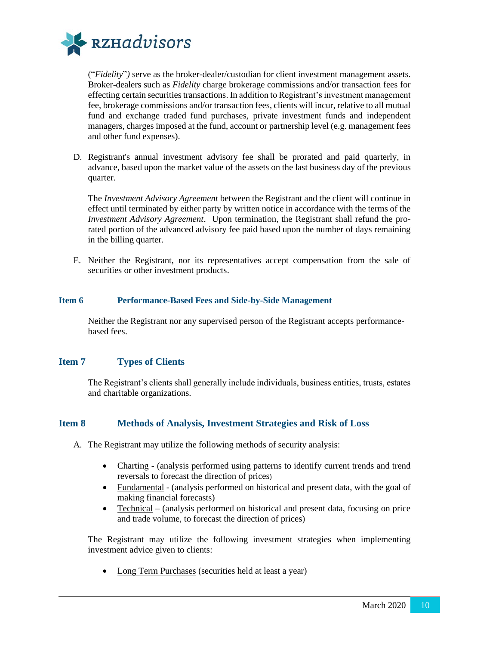

("*Fidelity*"*)* serve as the broker-dealer/custodian for client investment management assets. Broker-dealers such as *Fidelity* charge brokerage commissions and/or transaction fees for effecting certain securities transactions. In addition to Registrant's investment management fee, brokerage commissions and/or transaction fees, clients will incur, relative to all mutual fund and exchange traded fund purchases, private investment funds and independent managers, charges imposed at the fund, account or partnership level (e.g. management fees and other fund expenses).

D. Registrant's annual investment advisory fee shall be prorated and paid quarterly, in advance, based upon the market value of the assets on the last business day of the previous quarter.

The *Investment Advisory Agreement* between the Registrant and the client will continue in effect until terminated by either party by written notice in accordance with the terms of the *Investment Advisory Agreement*. Upon termination, the Registrant shall refund the prorated portion of the advanced advisory fee paid based upon the number of days remaining in the billing quarter.

E. Neither the Registrant, nor its representatives accept compensation from the sale of securities or other investment products.

#### <span id="page-12-0"></span>**Item 6 Performance-Based Fees and Side-by-Side Management**

Neither the Registrant nor any supervised person of the Registrant accepts performancebased fees.

#### <span id="page-12-1"></span>**Item 7 Types of Clients**

The Registrant's clients shall generally include individuals, business entities, trusts, estates and charitable organizations.

# <span id="page-12-2"></span>**Item 8 Methods of Analysis, Investment Strategies and Risk of Loss**

- A. The Registrant may utilize the following methods of security analysis:
	- Charting (analysis performed using patterns to identify current trends and trend reversals to forecast the direction of prices)
	- Fundamental (analysis performed on historical and present data, with the goal of making financial forecasts)
	- Technical (analysis performed on historical and present data, focusing on price and trade volume, to forecast the direction of prices)

The Registrant may utilize the following investment strategies when implementing investment advice given to clients:

• Long Term Purchases (securities held at least a year)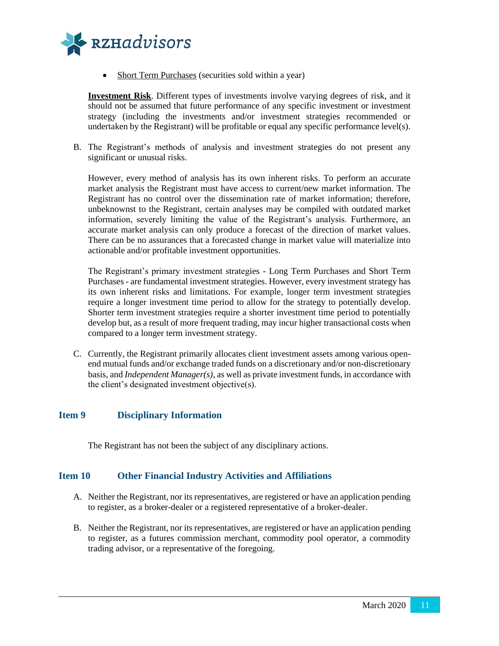

• Short Term Purchases (securities sold within a year)

**Investment Risk**. Different types of investments involve varying degrees of risk, and it should not be assumed that future performance of any specific investment or investment strategy (including the investments and/or investment strategies recommended or undertaken by the Registrant) will be profitable or equal any specific performance level(s).

B. The Registrant's methods of analysis and investment strategies do not present any significant or unusual risks.

However, every method of analysis has its own inherent risks. To perform an accurate market analysis the Registrant must have access to current/new market information. The Registrant has no control over the dissemination rate of market information; therefore, unbeknownst to the Registrant, certain analyses may be compiled with outdated market information, severely limiting the value of the Registrant's analysis. Furthermore, an accurate market analysis can only produce a forecast of the direction of market values. There can be no assurances that a forecasted change in market value will materialize into actionable and/or profitable investment opportunities.

The Registrant's primary investment strategies - Long Term Purchases and Short Term Purchases - are fundamental investment strategies. However, every investment strategy has its own inherent risks and limitations. For example, longer term investment strategies require a longer investment time period to allow for the strategy to potentially develop. Shorter term investment strategies require a shorter investment time period to potentially develop but, as a result of more frequent trading, may incur higher transactional costs when compared to a longer term investment strategy.

C. Currently, the Registrant primarily allocates client investment assets among various openend mutual funds and/or exchange traded funds on a discretionary and/or non-discretionary basis, and *Independent Manager(s)*, as well as private investment funds, in accordance with the client's designated investment objective(s).

# <span id="page-13-0"></span>**Item 9 Disciplinary Information**

The Registrant has not been the subject of any disciplinary actions.

#### <span id="page-13-1"></span>**Item 10 Other Financial Industry Activities and Affiliations**

- A. Neither the Registrant, nor its representatives, are registered or have an application pending to register, as a broker-dealer or a registered representative of a broker-dealer.
- B. Neither the Registrant, nor its representatives, are registered or have an application pending to register, as a futures commission merchant, commodity pool operator, a commodity trading advisor, or a representative of the foregoing.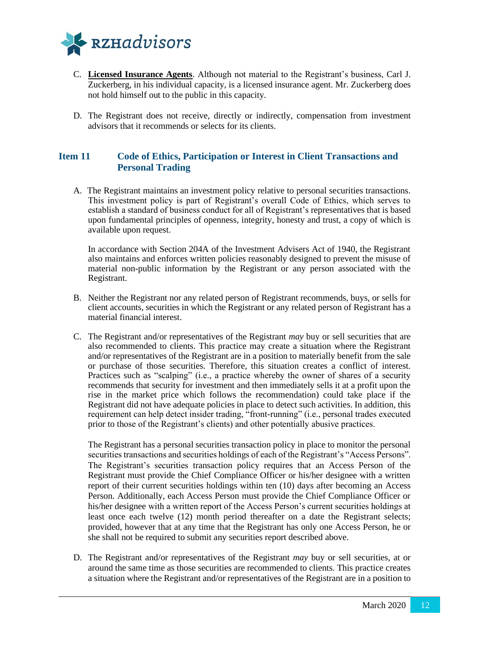

- C. **Licensed Insurance Agents**. Although not material to the Registrant's business, Carl J. Zuckerberg, in his individual capacity, is a licensed insurance agent. Mr. Zuckerberg does not hold himself out to the public in this capacity.
- D. The Registrant does not receive, directly or indirectly, compensation from investment advisors that it recommends or selects for its clients.

# <span id="page-14-0"></span>**Item 11 Code of Ethics, Participation or Interest in Client Transactions and Personal Trading**

A. The Registrant maintains an investment policy relative to personal securities transactions. This investment policy is part of Registrant's overall Code of Ethics, which serves to establish a standard of business conduct for all of Registrant's representatives that is based upon fundamental principles of openness, integrity, honesty and trust, a copy of which is available upon request.

In accordance with Section 204A of the Investment Advisers Act of 1940, the Registrant also maintains and enforces written policies reasonably designed to prevent the misuse of material non-public information by the Registrant or any person associated with the Registrant.

- B. Neither the Registrant nor any related person of Registrant recommends, buys, or sells for client accounts, securities in which the Registrant or any related person of Registrant has a material financial interest.
- C. The Registrant and/or representatives of the Registrant *may* buy or sell securities that are also recommended to clients. This practice may create a situation where the Registrant and/or representatives of the Registrant are in a position to materially benefit from the sale or purchase of those securities. Therefore, this situation creates a conflict of interest. Practices such as "scalping" (i.e., a practice whereby the owner of shares of a security recommends that security for investment and then immediately sells it at a profit upon the rise in the market price which follows the recommendation) could take place if the Registrant did not have adequate policies in place to detect such activities. In addition, this requirement can help detect insider trading, "front-running" (i.e., personal trades executed prior to those of the Registrant's clients) and other potentially abusive practices.

The Registrant has a personal securities transaction policy in place to monitor the personal securities transactions and securities holdings of each of the Registrant's "Access Persons". The Registrant's securities transaction policy requires that an Access Person of the Registrant must provide the Chief Compliance Officer or his/her designee with a written report of their current securities holdings within ten (10) days after becoming an Access Person. Additionally, each Access Person must provide the Chief Compliance Officer or his/her designee with a written report of the Access Person's current securities holdings at least once each twelve (12) month period thereafter on a date the Registrant selects; provided, however that at any time that the Registrant has only one Access Person, he or she shall not be required to submit any securities report described above.

D. The Registrant and/or representatives of the Registrant *may* buy or sell securities, at or around the same time as those securities are recommended to clients. This practice creates a situation where the Registrant and/or representatives of the Registrant are in a position to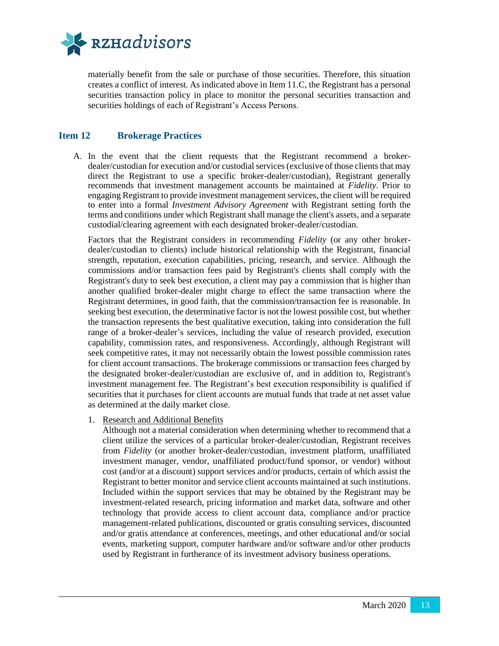

materially benefit from the sale or purchase of those securities. Therefore, this situation creates a conflict of interest. As indicated above in Item 11.C, the Registrant has a personal securities transaction policy in place to monitor the personal securities transaction and securities holdings of each of Registrant's Access Persons.

## <span id="page-15-0"></span>**Item 12 Brokerage Practices**

A. In the event that the client requests that the Registrant recommend a brokerdealer/custodian for execution and/or custodial services (exclusive of those clients that may direct the Registrant to use a specific broker-dealer/custodian), Registrant generally recommends that investment management accounts be maintained at *Fidelity*. Prior to engaging Registrant to provide investment management services, the client will be required to enter into a formal *Investment Advisory Agreement* with Registrant setting forth the terms and conditions under which Registrant shall manage the client's assets, and a separate custodial/clearing agreement with each designated broker-dealer/custodian.

Factors that the Registrant considers in recommending *Fidelity* (or any other brokerdealer/custodian to clients) include historical relationship with the Registrant, financial strength, reputation, execution capabilities, pricing, research, and service. Although the commissions and/or transaction fees paid by Registrant's clients shall comply with the Registrant's duty to seek best execution, a client may pay a commission that is higher than another qualified broker-dealer might charge to effect the same transaction where the Registrant determines, in good faith, that the commission/transaction fee is reasonable. In seeking best execution, the determinative factor is not the lowest possible cost, but whether the transaction represents the best qualitative execution, taking into consideration the full range of a broker-dealer's services, including the value of research provided, execution capability, commission rates, and responsiveness. Accordingly, although Registrant will seek competitive rates, it may not necessarily obtain the lowest possible commission rates for client account transactions. The brokerage commissions or transaction fees charged by the designated broker-dealer/custodian are exclusive of, and in addition to, Registrant's investment management fee. The Registrant's best execution responsibility is qualified if securities that it purchases for client accounts are mutual funds that trade at net asset value as determined at the daily market close.

1. Research and Additional Benefits

Although not a material consideration when determining whether to recommend that a client utilize the services of a particular broker-dealer/custodian, Registrant receives from *Fidelity* (or another broker-dealer/custodian, investment platform, unaffiliated investment manager, vendor, unaffiliated product/fund sponsor, or vendor) without cost (and/or at a discount) support services and/or products, certain of which assist the Registrant to better monitor and service client accounts maintained at such institutions. Included within the support services that may be obtained by the Registrant may be investment-related research, pricing information and market data, software and other technology that provide access to client account data, compliance and/or practice management-related publications, discounted or gratis consulting services, discounted and/or gratis attendance at conferences, meetings, and other educational and/or social events, marketing support, computer hardware and/or software and/or other products used by Registrant in furtherance of its investment advisory business operations.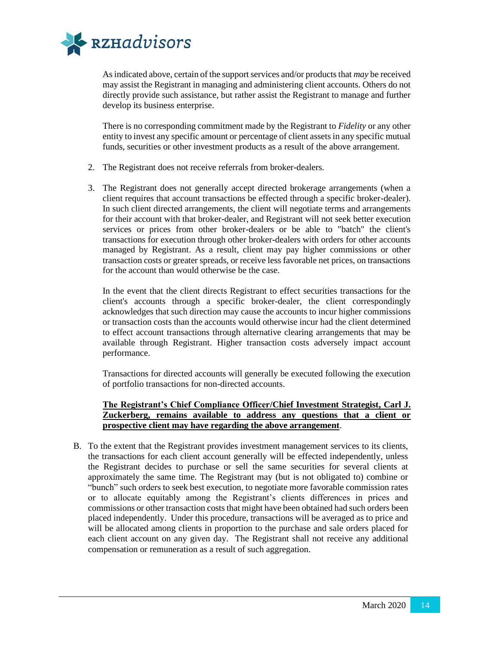

As indicated above, certain of the support services and/or products that *may* be received may assist the Registrant in managing and administering client accounts. Others do not directly provide such assistance, but rather assist the Registrant to manage and further develop its business enterprise.

There is no corresponding commitment made by the Registrant to *Fidelity* or any other entity to invest any specific amount or percentage of client assets in any specific mutual funds, securities or other investment products as a result of the above arrangement.

- 2. The Registrant does not receive referrals from broker-dealers.
- 3. The Registrant does not generally accept directed brokerage arrangements (when a client requires that account transactions be effected through a specific broker-dealer). In such client directed arrangements, the client will negotiate terms and arrangements for their account with that broker-dealer, and Registrant will not seek better execution services or prices from other broker-dealers or be able to "batch" the client's transactions for execution through other broker-dealers with orders for other accounts managed by Registrant. As a result, client may pay higher commissions or other transaction costs or greater spreads, or receive less favorable net prices, on transactions for the account than would otherwise be the case.

In the event that the client directs Registrant to effect securities transactions for the client's accounts through a specific broker-dealer, the client correspondingly acknowledges that such direction may cause the accounts to incur higher commissions or transaction costs than the accounts would otherwise incur had the client determined to effect account transactions through alternative clearing arrangements that may be available through Registrant. Higher transaction costs adversely impact account performance.

Transactions for directed accounts will generally be executed following the execution of portfolio transactions for non-directed accounts.

# **The Registrant's Chief Compliance Officer/Chief Investment Strategist, Carl J. Zuckerberg, remains available to address any questions that a client or prospective client may have regarding the above arrangement**.

B. To the extent that the Registrant provides investment management services to its clients, the transactions for each client account generally will be effected independently, unless the Registrant decides to purchase or sell the same securities for several clients at approximately the same time. The Registrant may (but is not obligated to) combine or "bunch" such orders to seek best execution, to negotiate more favorable commission rates or to allocate equitably among the Registrant's clients differences in prices and commissions or other transaction costs that might have been obtained had such orders been placed independently. Under this procedure, transactions will be averaged as to price and will be allocated among clients in proportion to the purchase and sale orders placed for each client account on any given day. The Registrant shall not receive any additional compensation or remuneration as a result of such aggregation.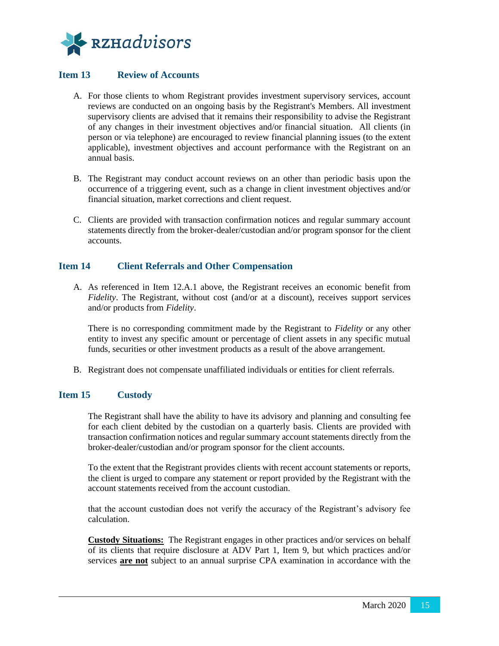

# <span id="page-17-0"></span>**Item 13 Review of Accounts**

- A. For those clients to whom Registrant provides investment supervisory services, account reviews are conducted on an ongoing basis by the Registrant's Members. All investment supervisory clients are advised that it remains their responsibility to advise the Registrant of any changes in their investment objectives and/or financial situation. All clients (in person or via telephone) are encouraged to review financial planning issues (to the extent applicable), investment objectives and account performance with the Registrant on an annual basis.
- B. The Registrant may conduct account reviews on an other than periodic basis upon the occurrence of a triggering event, such as a change in client investment objectives and/or financial situation, market corrections and client request.
- C. Clients are provided with transaction confirmation notices and regular summary account statements directly from the broker-dealer/custodian and/or program sponsor for the client accounts.

## <span id="page-17-1"></span>**Item 14 Client Referrals and Other Compensation**

A. As referenced in Item 12.A.1 above, the Registrant receives an economic benefit from *Fidelity*. The Registrant, without cost (and/or at a discount), receives support services and/or products from *Fidelity*.

There is no corresponding commitment made by the Registrant to *Fidelity* or any other entity to invest any specific amount or percentage of client assets in any specific mutual funds, securities or other investment products as a result of the above arrangement.

B. Registrant does not compensate unaffiliated individuals or entities for client referrals.

# <span id="page-17-2"></span>**Item 15 Custody**

The Registrant shall have the ability to have its advisory and planning and consulting fee for each client debited by the custodian on a quarterly basis. Clients are provided with transaction confirmation notices and regular summary account statements directly from the broker-dealer/custodian and/or program sponsor for the client accounts.

To the extent that the Registrant provides clients with recent account statements or reports, the client is urged to compare any statement or report provided by the Registrant with the account statements received from the account custodian.

that the account custodian does not verify the accuracy of the Registrant's advisory fee calculation.

**Custody Situations:** The Registrant engages in other practices and/or services on behalf of its clients that require disclosure at ADV Part 1, Item 9, but which practices and/or services **are not** subject to an annual surprise CPA examination in accordance with the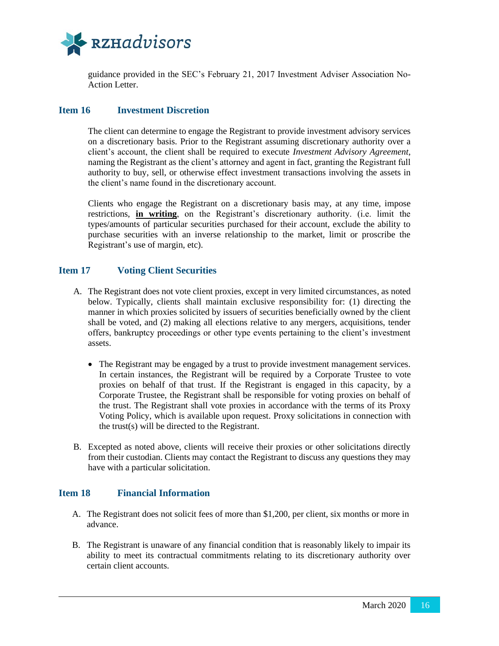![](_page_18_Picture_0.jpeg)

guidance provided in the SEC's February 21, 2017 Investment Adviser Association No-Action Letter.

## <span id="page-18-0"></span>**Item 16 Investment Discretion**

The client can determine to engage the Registrant to provide investment advisory services on a discretionary basis. Prior to the Registrant assuming discretionary authority over a client's account, the client shall be required to execute *Investment Advisory Agreement*, naming the Registrant as the client's attorney and agent in fact, granting the Registrant full authority to buy, sell, or otherwise effect investment transactions involving the assets in the client's name found in the discretionary account.

Clients who engage the Registrant on a discretionary basis may, at any time, impose restrictions, **in writing**, on the Registrant's discretionary authority. (i.e. limit the types/amounts of particular securities purchased for their account, exclude the ability to purchase securities with an inverse relationship to the market, limit or proscribe the Registrant's use of margin, etc).

## <span id="page-18-1"></span>**Item 17 Voting Client Securities**

- A. The Registrant does not vote client proxies, except in very limited circumstances, as noted below. Typically, clients shall maintain exclusive responsibility for: (1) directing the manner in which proxies solicited by issuers of securities beneficially owned by the client shall be voted, and (2) making all elections relative to any mergers, acquisitions, tender offers, bankruptcy proceedings or other type events pertaining to the client's investment assets.
	- The Registrant may be engaged by a trust to provide investment management services. In certain instances, the Registrant will be required by a Corporate Trustee to vote proxies on behalf of that trust. If the Registrant is engaged in this capacity, by a Corporate Trustee, the Registrant shall be responsible for voting proxies on behalf of the trust. The Registrant shall vote proxies in accordance with the terms of its Proxy Voting Policy, which is available upon request. Proxy solicitations in connection with the trust(s) will be directed to the Registrant.
- B. Excepted as noted above, clients will receive their proxies or other solicitations directly from their custodian. Clients may contact the Registrant to discuss any questions they may have with a particular solicitation.

#### <span id="page-18-2"></span>**Item 18 Financial Information**

- A. The Registrant does not solicit fees of more than \$1,200, per client, six months or more in advance.
- B. The Registrant is unaware of any financial condition that is reasonably likely to impair its ability to meet its contractual commitments relating to its discretionary authority over certain client accounts.